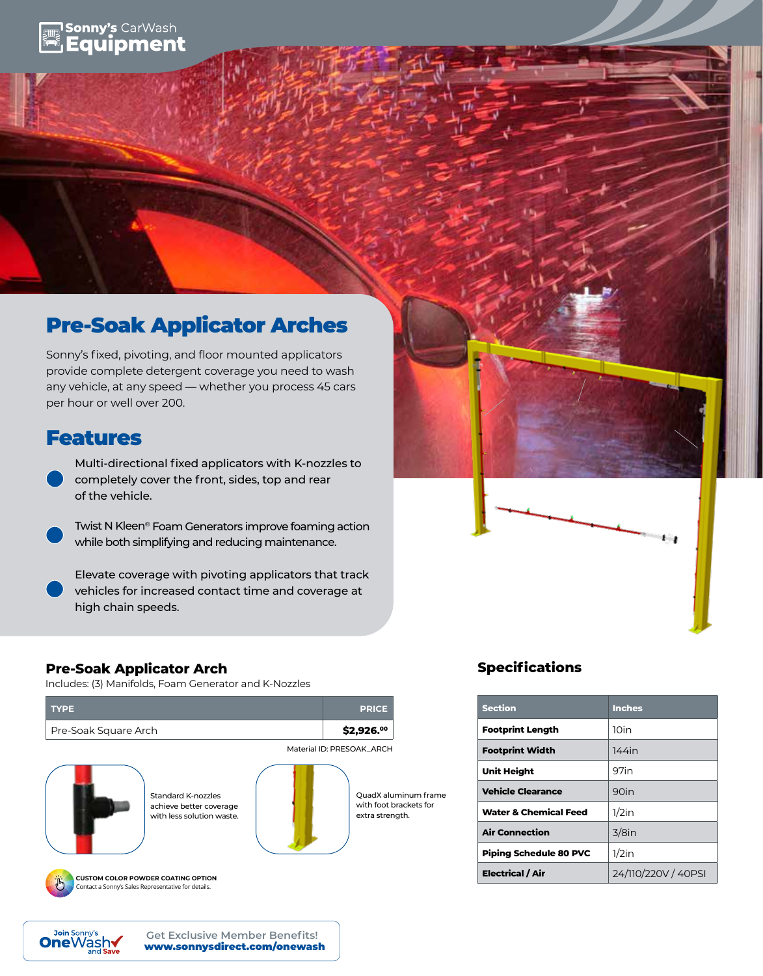# **Sonny's CarWash** Equipment

# Pre-Soak Applicator Arches

Sonny's fixed, pivoting, and floor mounted applicators provide complete detergent coverage you need to wash any vehicle, at any speed — whether you process 45 cars per hour or well over 200.

# Features

Multi-directional fixed applicators with K-nozzles to completely cover the front, sides, top and rear of the vehicle.

Twist N Kleen® Foam Generators improve foaming action while both simplifying and reducing maintenance.

Elevate coverage with pivoting applicators that track vehicles for increased contact time and coverage at high chain speeds.

# **Pre-Soak Applicator Arch**

Includes: (3) Manifolds, Foam Generator and K-Nozzles





**CUSTOM COLOR POWDER COATING OPTION** Contact a Sonny's Sales Representative for details.



QuadX aluminum frame with foot brackets for extra strength.

# **Specifications**

| <b>Section</b>                   | <b>Inches</b>       |
|----------------------------------|---------------------|
| <b>Footprint Length</b>          | 10in                |
| <b>Footprint Width</b>           | $144$ in            |
| <b>Unit Height</b>               | 97in                |
| <b>Vehicle Clearance</b>         | $90$ in             |
| <b>Water &amp; Chemical Feed</b> | $1/2$ in            |
| <b>Air Connection</b>            | $3/8$ in            |
| <b>Piping Schedule 80 PVC</b>    | $1/2$ in            |
| Electrical / Air                 | 24/110/220V / 40PSI |

ı.,

www.sonnysdirect.com/onewash **Get Exclusive Member Benefits!**